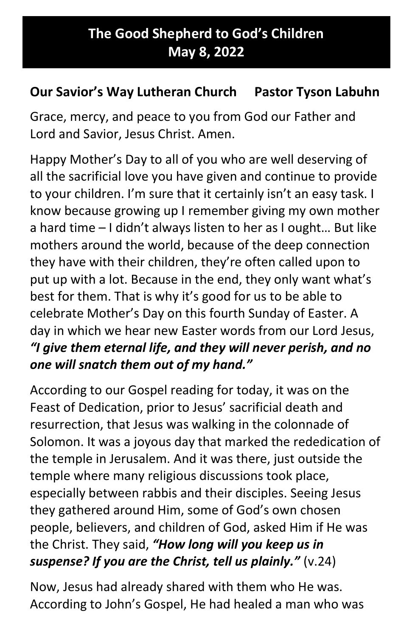## The Good Shepherd to God's Children May 8, 2022

## Our Savior's Way Lutheran Church Pastor Tyson Labuhn

Grace, mercy, and peace to you from God our Father and Lord and Savior, Jesus Christ. Amen.

Happy Mother's Day to all of you who are well deserving of all the sacrificial love you have given and continue to provide to your children. I'm sure that it certainly isn't an easy task. I know because growing up I remember giving my own mother a hard time – I didn't always listen to her as I ought… But like mothers around the world, because of the deep connection they have with their children, they're often called upon to put up with a lot. Because in the end, they only want what's best for them. That is why it's good for us to be able to celebrate Mother's Day on this fourth Sunday of Easter. A day in which we hear new Easter words from our Lord Jesus, "I give them eternal life, and they will never perish, and no one will snatch them out of my hand."

According to our Gospel reading for today, it was on the Feast of Dedication, prior to Jesus' sacrificial death and resurrection, that Jesus was walking in the colonnade of Solomon. It was a joyous day that marked the rededication of the temple in Jerusalem. And it was there, just outside the temple where many religious discussions took place, especially between rabbis and their disciples. Seeing Jesus they gathered around Him, some of God's own chosen people, believers, and children of God, asked Him if He was the Christ. They said, "How long will you keep us in suspense? If you are the Christ, tell us plainly." (v.24)

Now, Jesus had already shared with them who He was. According to John's Gospel, He had healed a man who was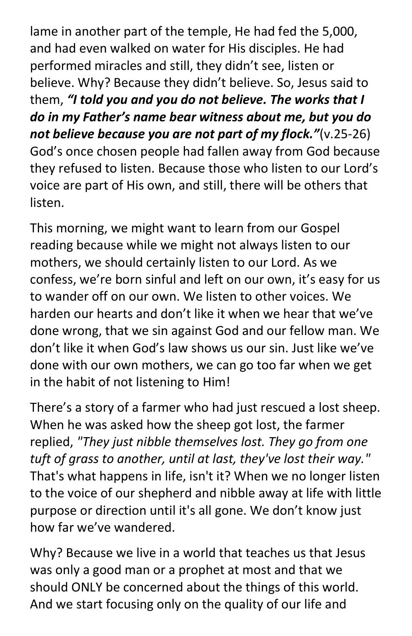lame in another part of the temple, He had fed the 5,000, and had even walked on water for His disciples. He had performed miracles and still, they didn't see, listen or believe. Why? Because they didn't believe. So, Jesus said to them, "I told you and you do not believe. The works that I do in my Father's name bear witness about me, but you do not believe because you are not part of my flock."(v.25-26) God's once chosen people had fallen away from God because they refused to listen. Because those who listen to our Lord's voice are part of His own, and still, there will be others that listen.

This morning, we might want to learn from our Gospel reading because while we might not always listen to our mothers, we should certainly listen to our Lord. As we confess, we're born sinful and left on our own, it's easy for us to wander off on our own. We listen to other voices. We harden our hearts and don't like it when we hear that we've done wrong, that we sin against God and our fellow man. We don't like it when God's law shows us our sin. Just like we've done with our own mothers, we can go too far when we get in the habit of not listening to Him!

There's a story of a farmer who had just rescued a lost sheep. When he was asked how the sheep got lost, the farmer replied, "They just nibble themselves lost. They go from one tuft of grass to another, until at last, they've lost their way." That's what happens in life, isn't it? When we no longer listen to the voice of our shepherd and nibble away at life with little purpose or direction until it's all gone. We don't know just how far we've wandered.

Why? Because we live in a world that teaches us that Jesus was only a good man or a prophet at most and that we should ONLY be concerned about the things of this world. And we start focusing only on the quality of our life and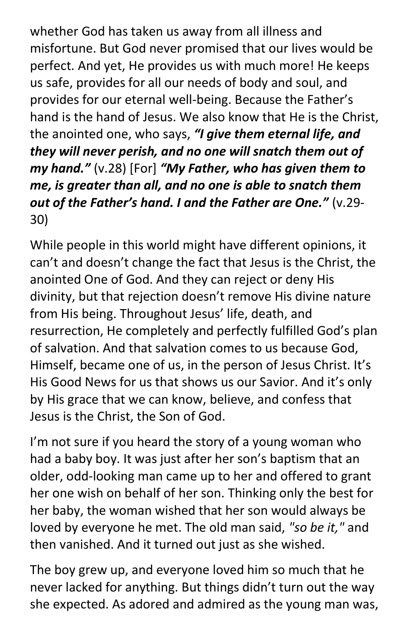whether God has taken us away from all illness and misfortune. But God never promised that our lives would be perfect. And yet, He provides us with much more! He keeps us safe, provides for all our needs of body and soul, and provides for our eternal well-being. Because the Father's hand is the hand of Jesus. We also know that He is the Christ, the anointed one, who says, "I give them eternal life, and they will never perish, and no one will snatch them out of my hand."  $(v.28)$  [For] "My Father, who has given them to me, is greater than all, and no one is able to snatch them out of the Father's hand. I and the Father are One." (v.29- 30)

While people in this world might have different opinions, it can't and doesn't change the fact that Jesus is the Christ, the anointed One of God. And they can reject or deny His divinity, but that rejection doesn't remove His divine nature from His being. Throughout Jesus' life, death, and resurrection, He completely and perfectly fulfilled God's plan of salvation. And that salvation comes to us because God, Himself, became one of us, in the person of Jesus Christ. It's His Good News for us that shows us our Savior. And it's only by His grace that we can know, believe, and confess that Jesus is the Christ, the Son of God.

I'm not sure if you heard the story of a young woman who had a baby boy. It was just after her son's baptism that an older, odd-looking man came up to her and offered to grant her one wish on behalf of her son. Thinking only the best for her baby, the woman wished that her son would always be loved by everyone he met. The old man said, "so be it," and then vanished. And it turned out just as she wished.

The boy grew up, and everyone loved him so much that he never lacked for anything. But things didn't turn out the way she expected. As adored and admired as the young man was,